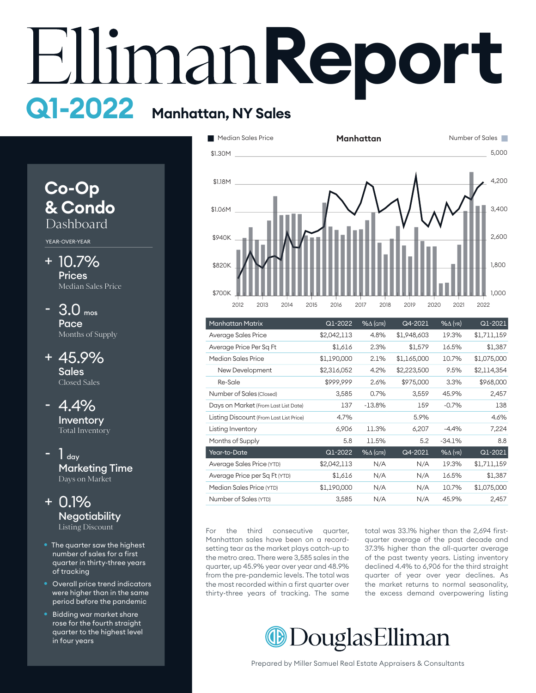# **Report Manhatan, NY Sales Q1-2022**



- number of sales for a first quarter in thirty-three years of tracking
- Overall price trend indicators were higher than in the same period before the pandemic
- Bidding war market share rose for the fourth straight quarter to the highest level in four years



| <b>Manhattan Matrix</b>                 | Q1-2022     | $% \triangle (QTR)$ | Q4-2021     | $%$ $\Delta$ (YR) | Q1-2021     |
|-----------------------------------------|-------------|---------------------|-------------|-------------------|-------------|
| Average Sales Price                     | \$2,042,113 | 4.8%                | \$1,948,603 | 19.3%             | \$1,711,159 |
| Average Price Per Sq Ft                 | \$1,616     | 2.3%                | \$1,579     | 16.5%             | \$1,387     |
| Median Sales Price                      | \$1,190,000 | 2.1%                | \$1,165,000 | 10.7%             | \$1,075,000 |
| New Development                         | \$2,316,052 | 4.2%                | \$2,223,500 | 9.5%              | \$2,114,354 |
| Re-Sale                                 | \$999,999   | 2.6%                | \$975,000   | 3.3%              | \$968,000   |
| Number of Sales (Closed)                | 3,585       | 0.7%                | 3,559       | 45.9%             | 2,457       |
| Days on Market (From Last List Date)    | 137         | $-13.8%$            | 159         | $-0.7%$           | 138         |
| Listing Discount (From Last List Price) | 4.7%        |                     | 5.9%        |                   | 4.6%        |
| Listing Inventory                       | 6,906       | 11.3%               | 6,207       | $-4.4%$           | 7,224       |
| Months of Supply                        | 5.8         | 11.5%               | 5.2         | $-34.1%$          | 8.8         |
| Year-to-Date                            | Q1-2022     | $% \triangle (QTR)$ | Q4-2021     | $%$ $\Delta$ (YR) | Q1-2021     |
| Average Sales Price (YTD)               | \$2,042,113 | N/A                 | N/A         | 19.3%             | \$1,711,159 |
| Average Price per Sq Ft (YTD)           | \$1,616     | N/A                 | N/A         | 16.5%             | \$1,387     |
| Median Sales Price (YTD)                | \$1,190,000 | N/A                 | N/A         | 10.7%             | \$1,075,000 |
| Number of Sales (YTD)                   | 3,585       | N/A                 | N/A         | 45.9%             | 2,457       |

For the third consecutive quarter, Manhattan sales have been on a recordsetting tear as the market plays catch-up to the metro area. There were 3,585 sales in the quarter, up 45.9% year over year and 48.9% quarter, up 10.9 % year over year and 10.9 % the most recorded within a first quarter over thirty-three years of tracking. The same

total was 33.1% higher than the 2,694 firstand consecutive quarter, total was being ingited than the 2,074 mst.<br>hhattan sales have been on a record- quarter average of the past decade and 37.3% higher than the all-quarter average of the past twenty years. Listing inventory declined 4.4% to 6,906 for the third straight quarter of year over year declines. As the market returns to normal seasonality, the excess demand overpowering listing

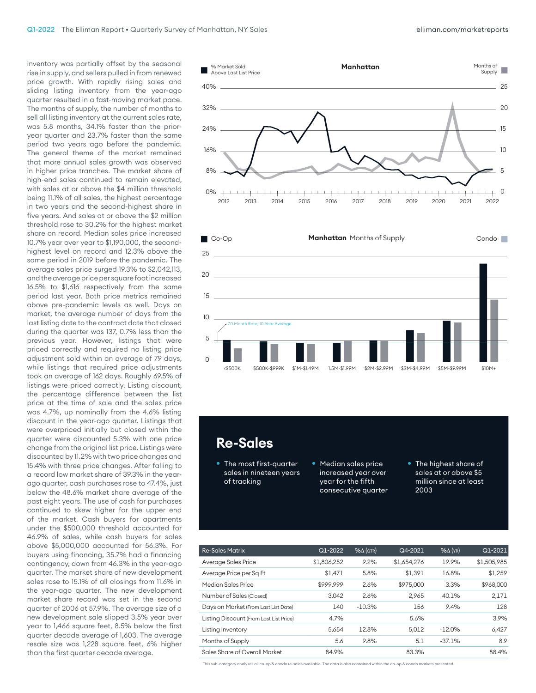inventory was partially offset by the seasonal rise in supply, and sellers pulled in from renewed price growth. With rapidly rising sales and sliding listing inventory from the year-ago quarter resulted in a fast-moving market pace. The months of supply, the number of months to sell all listing inventory at the current sales rate, was 5.8 months, 34.1% faster than the prioryear quarter and 23.7% faster than the same period two years ago before the pandemic. The general theme of the market remained that more annual sales growth was observed in higher price tranches. The market share of high-end sales continued to remain elevated, with sales at or above the \$4 million threshold being 11.1% of all sales, the highest percentage in two years and the second-highest share in five years. And sales at or above the \$2 million threshold rose to 30.2% for the highest market share on record. Median sales price increased 10.7% year over year to \$1,190,000, the secondhighest level on record and 12.3% above the same period in 2019 before the pandemic. The average sales price surged 19.3% to \$2,042,113, and the average price per square foot increased 16.5% to \$1,616 respectively from the same period last year. Both price metrics remained above pre-pandemic levels as well. Days on market, the average number of days from the last listing date to the contract date that closed during the quarter was 137, 0.7% less than the previous year. However, listings that were priced correctly and required no listing price adjustment sold within an average of 79 days, while listings that required price adjustments took an average of 162 days. Roughly 69.5% of listings were priced correctly. Listing discount, the percentage difference between the list price at the time of sale and the sales price was 4.7%, up nominally from the 4.6% listing discount in the year-ago quarter. Listings that were overpriced initially but closed within the quarter were discounted 5.3% with one price change from the original list price. Listings were discounted by 11.2% with two price changes and 15.4% with three price changes. After falling to a record low market share of 39.3% in the yearago quarter, cash purchases rose to 47.4%, just below the 48.6% market share average of the past eight years. The use of cash for purchases continued to skew higher for the upper end of the market. Cash buyers for apartments under the \$500,000 threshold accounted for 46.9% of sales, while cash buyers for sales above \$5,000,000 accounted for 56.3%. For buyers using financing, 35.7% had a financing contingency, down from 46.3% in the year-ago quarter. The market share of new development sales rose to 15.1% of all closings from 11.6% in the year-ago quarter. The new development market share record was set in the second quarter of 2006 at 57.9%. The average size of a new development sale slipped 3.5% year over year to 1,466 square feet, 8.5% below the first quarter decade average of 1,603. The average resale size was 1,228 square feet, 6% higher than the first quarter decade average.



## \$840K **Re-Sales**

\$900K

- The most first-quarter sales in nineteen years of tracking
- Median sales price increased year over year for the fifth consecutive quarter

2012 2013 2014 2015 2016 2017 2018 2019 2020 2021 2022

• The highest share of sales at or above \$5 million since at least 2003

2,500

| <b>Re-Sales Matrix</b>                  | Q1-2022     | $% \triangle (QTR)$ | Q4-2021     | $%$ $\Delta$ (YR) | Q1-2021     |
|-----------------------------------------|-------------|---------------------|-------------|-------------------|-------------|
| Average Sales Price                     | \$1,806,252 | 9.2%                | \$1,654,276 | 19.9%             | \$1,505,985 |
| Average Price per Sq Ft                 | \$1.471     | 5.8%                | \$1,391     | 16.8%             | \$1,259     |
| Median Sales Price                      | \$999.999   | 2.6%                | \$975,000   | 3.3%              | \$968,000   |
| Number of Sales (Closed)                | 3.042       | 2.6%                | 2.965       | 40.1%             | 2,171       |
| Days on Market (From Last List Date)    | 140         | $-10.3%$            | 156         | 9.4%              | 128         |
| Listing Discount (From Last List Price) | 4.7%        |                     | 5.6%        |                   | 3.9%        |
| Listing Inventory                       | 5.654       | 12.8%               | 5.012       | $-12.0%$          | 6,427       |
| Months of Supply                        | 5.6         | 9.8%                | 5.1         | $-37.1%$          | 8.9         |
| Sales Share of Overall Market           | 84.9%       |                     | 83.3%       |                   | 88.4%       |

This sub-category analyzes all co-op & condo re-sales available. The data is also contained within the co-op & condo markets presented.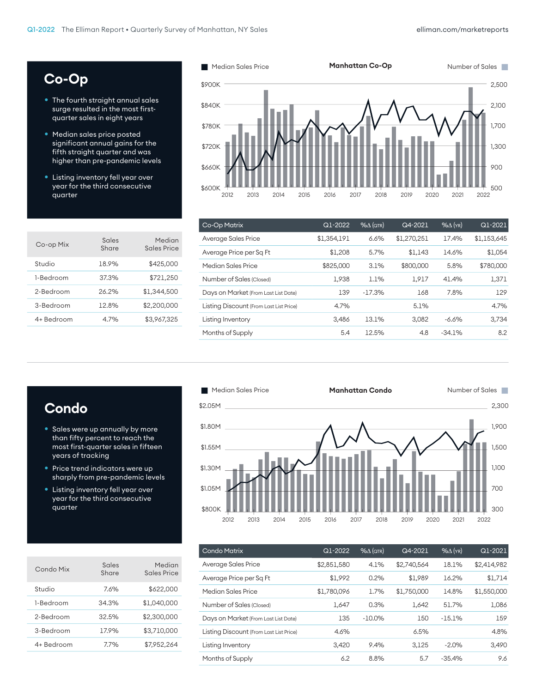300

# **Co-Op**

- The fourth straight annual sales surge resulted in the most firstquarter sales in eight years
- Median sales price posted significant annual gains for the fifth straight quarter and was higher than pre-pandemic levels
- Listing inventory fell year over year for the third consecutive quarter

| Co-op Mix  | Sales<br>Share | Median<br>Sales Price |
|------------|----------------|-----------------------|
| Studio     | 18.9%          | \$425,000             |
| 1-Bedroom  | 37.3%          | \$721,250             |
| 2-Bedroom  | 26.2%          | \$1,344,500           |
| 3-Bedroom  | 12.8%          | \$2,200,000           |
| 4+ Bedroom | 4.7%           | \$3.967.325           |



| Co-Op Matrix                            | Q1-2022     | $%$ $\Delta$ (QTR) | Q4-2021     | $%$ $\Delta$ (YR) | Q1-2021     |
|-----------------------------------------|-------------|--------------------|-------------|-------------------|-------------|
| Average Sales Price                     | \$1,354,191 | 6.6%               | \$1,270,251 | 17.4%             | \$1,153,645 |
| Average Price per Sq Ft                 | \$1,208     | 5.7%               | \$1.143     | 14.6%             | \$1,054     |
| Median Sales Price                      | \$825,000   | 3.1%               | \$800,000   | 5.8%              | \$780,000   |
| Number of Sales (Closed)                | 1.938       | 1.1%               | 1.917       | 41.4%             | 1,371       |
| Days on Market (From Last List Date)    | 139         | $-17.3%$           | 168         | 7.8%              | 129         |
| Listing Discount (From Last List Price) | 4.7%        |                    | 5.1%        |                   | 4.7%        |
| Listing Inventory                       | 3.486       | 13.1%              | 3.082       | -6.6%             | 3,734       |
| Months of Supply                        | 5.4         | 12.5%              | 4.8         | $-34.1%$          | 8.2         |
|                                         |             |                    |             |                   |             |

# **Condo**

• Sales were up annually by more than fifty percent to reach the most first-quarter sales in fifteen years of tracking

\$800K

- Price trend indicators were up sharply from pre-pandemic levels
- Listing inventory fell year over year for the third consecutive quarter

| Condo Mix  | Sales<br>Share | Median<br>Sales Price |
|------------|----------------|-----------------------|
| Studio     | 7.6%           | \$622,000             |
| 1-Bedroom  | 34.3%          | \$1,040,000           |
| 2-Bedroom  | 32.5%          | \$2,300,000           |
| 3-Bedroom  | 17.9%          | \$3,710,000           |
| 4+ Bedroom | 7.7%           | \$7,952,264           |



| Condo Matrix                            | Q1-2022     | $% \triangle (QTR)$ | Q4-2021     | $%$ $\Delta$ (YR) | Q1-2021     |
|-----------------------------------------|-------------|---------------------|-------------|-------------------|-------------|
| Average Sales Price                     | \$2,851,580 | 4.1%                | \$2,740,564 | 18.1%             | \$2,414,982 |
| Average Price per Sq Ft                 | \$1.992     | 0.2%                | \$1.989     | 16.2%             | \$1.714     |
| Median Sales Price                      | \$1,780,096 | 1.7%                | \$1,750,000 | 14.8%             | \$1,550,000 |
| Number of Sales (Closed)                | 1,647       | 0.3%                | 1.642       | 51.7%             | 1,086       |
| Days on Market (From Last List Date)    | 135         | $-10.0\%$           | 150         | $-15.1%$          | 159         |
| Listing Discount (From Last List Price) | 4.6%        |                     | 6.5%        |                   | 4.8%        |
| Listing Inventory                       | 3.420       | 9.4%                | 3.125       | $-2.0%$           | 3.490       |
| Months of Supply                        | 6.2         | 8.8%                | 5.7         | $-35.4%$          | 9.6         |
|                                         |             |                     |             |                   |             |